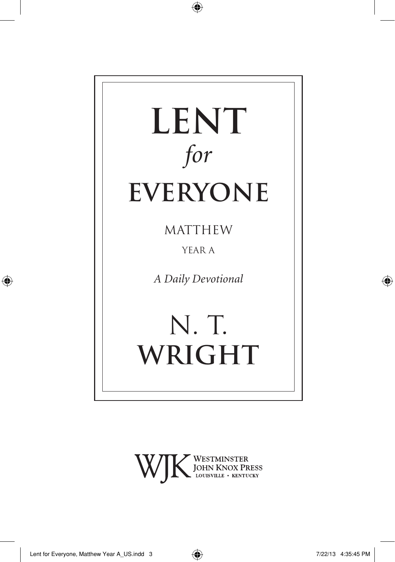

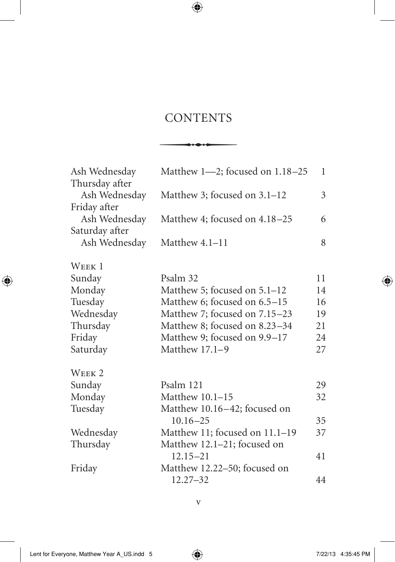# **CONTENTS**

|                                 | <b>CONTENTS</b>                      |   |
|---------------------------------|--------------------------------------|---|
|                                 |                                      |   |
| Ash Wednesday<br>Thursday after | Matthew $1-2$ ; focused on $1.18-25$ | 1 |
| Ash Wednesday                   | Matthew 3; focused on 3.1–12         | 3 |
| Friday after<br>Ash Wednesday   | Matthew 4; focused on 4.18–25        | 6 |
| Saturday after                  |                                      |   |
| Ash Wednesday                   | Matthew $4.1-11$                     | 8 |

| WEEK 1    |                                |    |
|-----------|--------------------------------|----|
| Sunday    | Psalm 32                       | 11 |
| Monday    | Matthew 5; focused on 5.1-12   | 14 |
| Tuesday   | Matthew 6; focused on $6.5-15$ | 16 |
| Wednesday | Matthew 7; focused on 7.15–23  | 19 |
| Thursday  | Matthew 8; focused on 8.23–34  | 21 |
| Friday    | Matthew 9; focused on 9.9–17   | 24 |
| Saturday  | Matthew $17.1-9$               | 27 |
| WEEK 2    |                                |    |
| Sunday    | Psalm 121                      | 29 |
| Monday    | Matthew $10.1-15$              | 32 |
| Tuesday   | Matthew 10.16-42; focused on   |    |
|           | $10.16 - 25$                   | 35 |
| Wednesday | Matthew 11; focused on 11.1–19 | 37 |
| Thursday  | Matthew 12.1–21; focused on    |    |
|           | $12.15 - 21$                   | 41 |
| Friday    | Matthew 12.22–50; focused on   |    |
|           | $12.27 - 32$                   | 44 |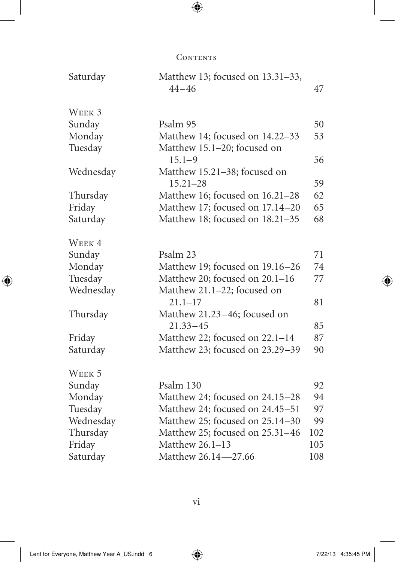#### **CONTENTS**

| Saturday          | Matthew 13; focused on 13.31-33,<br>$44 - 46$ | 47  |
|-------------------|-----------------------------------------------|-----|
| WEEK 3            |                                               |     |
| Sunday            | Psalm 95                                      | 50  |
| Monday            | Matthew 14; focused on 14.22-33               | 53  |
| Tuesday           | Matthew 15.1-20; focused on                   |     |
|                   | $15.1 - 9$                                    | 56  |
| Wednesday         | Matthew 15.21-38; focused on                  |     |
|                   | $15.21 - 28$                                  | 59  |
| Thursday          | Matthew 16; focused on 16.21-28               | 62  |
| Friday            | Matthew 17; focused on 17.14-20               | 65  |
| Saturday          | Matthew 18; focused on 18.21-35               | 68  |
| WEEK 4            |                                               |     |
| Sunday            | Psalm 23                                      | 71  |
| Monday            | Matthew 19; focused on 19.16-26               | 74  |
| Tuesday           | Matthew 20; focused on 20.1-16                | 77  |
| Wednesday         | Matthew 21.1-22; focused on                   |     |
|                   | $21.1 - 17$                                   | 81  |
| Thursday          | Matthew 21.23-46; focused on                  |     |
|                   | $21.33 - 45$                                  | 85  |
| Friday            | Matthew 22; focused on 22.1-14                | 87  |
| Saturday          | Matthew 23; focused on 23.29-39               | 90  |
| WEEK <sub>5</sub> |                                               |     |
| Sunday            | Psalm 130                                     | 92  |
| Monday            | Matthew 24; focused on 24.15-28               | 94  |
| Tuesday           | Matthew 24; focused on 24.45-51               | 97  |
| Wednesday         | Matthew 25; focused on 25.14-30               | 99  |
| Thursday          | Matthew 25; focused on 25.31-46               | 102 |
| Friday            | Matthew 26.1–13                               | 105 |
| Saturday          | Matthew 26.14-27.66                           | 108 |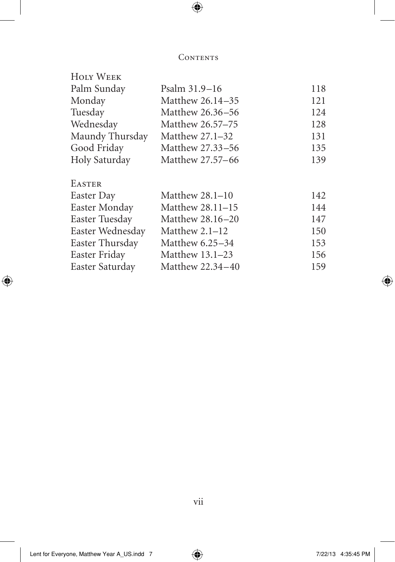**CONTENTS** 

| HOLY WEEK        |                   |     |
|------------------|-------------------|-----|
| Palm Sunday      | Psalm 31.9–16     | 118 |
| Monday           | Matthew 26.14–35  | 121 |
| Tuesday          | Matthew 26.36–56  | 124 |
| Wednesday        | Matthew 26.57–75  | 128 |
| Maundy Thursday  | Matthew 27.1–32   | 131 |
| Good Friday      | Matthew 27.33–56  | 135 |
| Holy Saturday    | Matthew 27.57–66  | 139 |
| <b>EASTER</b>    |                   |     |
| Easter Day       | Matthew 28.1–10   | 142 |
| Easter Monday    | Matthew 28.11–15  | 144 |
| Easter Tuesday   | Matthew 28.16–20  | 147 |
| Easter Wednesday | Matthew $2.1-12$  | 150 |
| Easter Thursday  | Matthew 6.25–34   | 153 |
| Easter Friday    | Matthew $13.1-23$ | 156 |
| Easter Saturday  | Matthew 22.34–40  | 159 |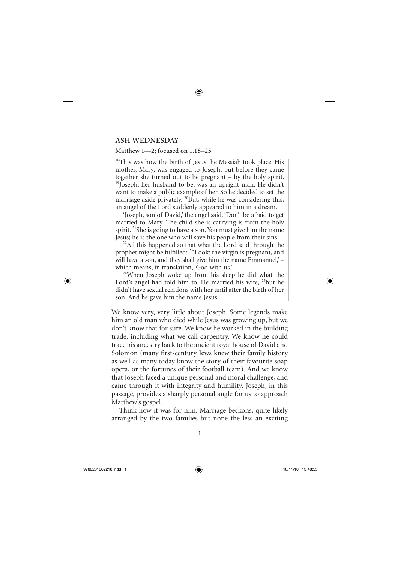### **ASH WEDNESDAY**

#### **Matthew 1—2; focused on 1.18 –25**

<sup>18</sup>This was how the birth of Jesus the Messiah took place. His mother, Mary, was engaged to Joseph; but before they came together she turned out to be pregnant – by the holy spirit. 19Joseph, her husband-to-be, was an upright man. He didn't want to make a public example of her. So he decided to set the marriage aside privately. <sup>20</sup>But, while he was considering this, an angel of the Lord suddenly appeared to him in a dream.

'Joseph, son of David,' the angel said, 'Don't be afraid to get married to Mary. The child she is carrying is from the holy spirit. <sup>21</sup>She is going to have a son. You must give him the name Jesus; he is the one who will save his people from their sins.'

 $^{22}$ All this happened so that what the Lord said through the prophet might be fulfilled: 23'Look: the virgin is pregnant, and will have a son, and they shall give him the name Emmanuel,' which means, in translation, 'God with us.' <sup>24</sup>When Joseph woke up from his sleep he did what the

Lord's angel had told him to. He married his wife,  $25$  but he didn't have sexual relations with her until after the birth of her son. And he gave him the name Jesus.

We know very, very little about Joseph. Some legends make him an old man who died while Jesus was growing up, but we don't know that for sure. We know he worked in the building trade, including what we call carpentry. We know he could trace his ancestry back to the ancient royal house of David and Solomon (many first-century Jews knew their family history as well as many today know the story of their favourite soap opera, or the fortunes of their football team). And we know that Joseph faced a unique personal and moral challenge, and came through it with integrity and humility. Joseph, in this passage, provides a sharply personal angle for us to approach Matthew's gospel.

Think how it was for him. Marriage beckons, quite likely arranged by the two families but none the less an exciting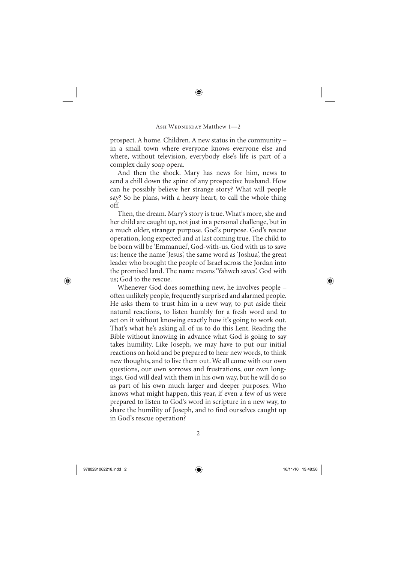prospect. A home. Children. A new status in the community – in a small town where everyone knows everyone else and where, without television, everybody else's life is part of a complex daily soap opera.

And then the shock. Mary has news for him, news to send a chill down the spine of any prospective husband. How can he possibly believe her strange story? What will people say? So he plans, with a heavy heart, to call the whole thing off.

Then, the dream. Mary's story is true. What's more, she and her child are caught up, not just in a personal challenge, but in a much older, stranger purpose. God's purpose. God's rescue operation, long expected and at last coming true. The child to be born will be 'Emmanuel', God-with-us. God with us to save us: hence the name 'Jesus', the same word as 'Joshua', the great leader who brought the people of Israel across the Jordan into the promised land. The name means 'Yahweh saves'. God with us; God to the rescue.

Whenever God does something new, he involves people – often unlikely people, frequently surprised and alarmed people. He asks them to trust him in a new way, to put aside their natural reactions, to listen humbly for a fresh word and to act on it without knowing exactly how it's going to work out. That's what he's asking all of us to do this Lent. Reading the Bible without knowing in advance what God is going to say takes humility. Like Joseph, we may have to put our initial reactions on hold and be prepared to hear new words, to think new thoughts, and to live them out. We all come with our own questions, our own sorrows and frustrations, our own longings. God will deal with them in his own way, but he will do so as part of his own much larger and deeper purposes. Who knows what might happen, this year, if even a few of us were prepared to listen to God's word in scripture in a new way, to share the humility of Joseph, and to find ourselves caught up in God's rescue operation?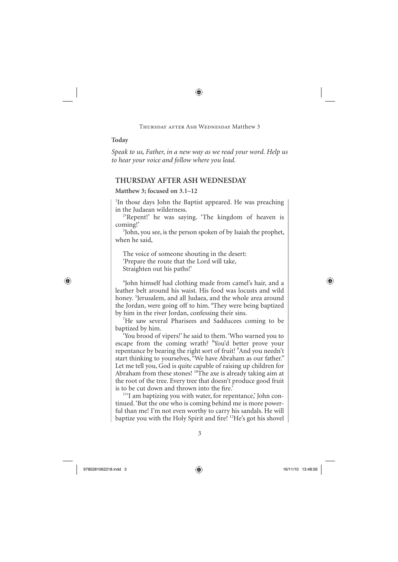### **Today**

*Speak to us, Father, in a new way as we read your word. Help us to hear your voice and follow where you lead.*

### **THURSDAY AFTER ASH WEDNESDAY**

#### **Matthew 3; focused on 3.1–12**

<sup>1</sup>In those days John the Baptist appeared. He was preaching in the Judaean wilderness. <sup>2</sup>

<sup>2'</sup>Repent!' he was saying. 'The kingdom of heaven is coming!'

<sup>3</sup>John, you see, is the person spoken of by Isaiah the prophet, when he said,

The voice of someone shouting in the desert: 'Prepare the route that the Lord will take, Straighten out his paths!'

4 John himself had clothing made from camel's hair, and a leather belt around his waist. His food was locusts and wild honey.<sup>5</sup>Jerusalem, and all Judaea, and the whole area around the Jordan, were going off to him. 'They were being baptized by him in the river Jordan, confessing their sins. <sup>7</sup>

<sup>7</sup>He saw several Pharisees and Sadducees coming to be baptized by him.

'You brood of vipers!' he said to them. 'Who warned you to escape from the coming wrath? <sup>8</sup>You'd better prove your repentance by bearing the right sort of fruit! <sup>9</sup>And you needn't start thinking to yourselves, "We have Abraham as our father." Let me tell you, God is quite capable of raising up children for Abraham from these stones! <sup>10</sup>The axe is already taking aim at the root of the tree. Every tree that doesn't produce good fruit is to be cut down and thrown into the fire.'<br><sup>11</sup>'I am baptizing you with water, for repentance,' John con-

tinued. 'But the one who is coming behind me is more powerful than me! I'm not even worthy to carry his sandals. He will baptize you with the Holy Spirit and fire! 12He's got his shovel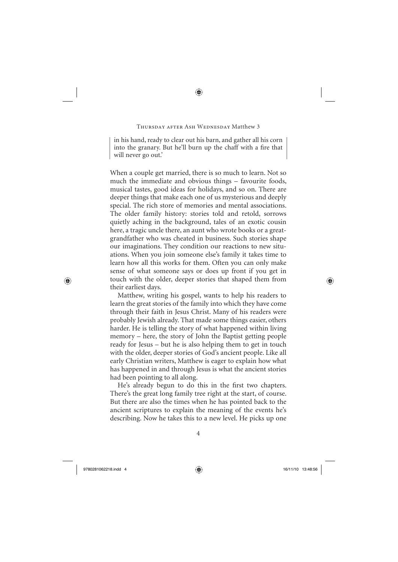in his hand, ready to clear out his barn, and gather all his corn into the granary. But he'll burn up the chaff with a fire that will never go out.'

When a couple get married, there is so much to learn. Not so much the immediate and obvious things – favourite foods, musical tastes, good ideas for holidays, and so on. There are deeper things that make each one of us mysterious and deeply special. The rich store of memories and mental associations. The older family history: stories told and retold, sorrows quietly aching in the background, tales of an exotic cousin here, a tragic uncle there, an aunt who wrote books or a greatgrandfather who was cheated in business. Such stories shape our imaginations. They condition our reactions to new situations. When you join someone else's family it takes time to learn how all this works for them. Often you can only make sense of what someone says or does up front if you get in touch with the older, deeper stories that shaped them from their earliest days.

Matthew, writing his gospel, wants to help his readers to learn the great stories of the family into which they have come through their faith in Jesus Christ. Many of his readers were probably Jewish already. That made some things easier, others harder. He is telling the story of what happened within living memory – here, the story of John the Baptist getting people ready for Jesus – but he is also helping them to get in touch with the older, deeper stories of God's ancient people. Like all early Christian writers, Matthew is eager to explain how what has happened in and through Jesus is what the ancient stories had been pointing to all along.

He's already begun to do this in the first two chapters. There's the great long family tree right at the start, of course. But there are also the times when he has pointed back to the ancient scriptures to explain the meaning of the events he's describing. Now he takes this to a new level. He picks up one

4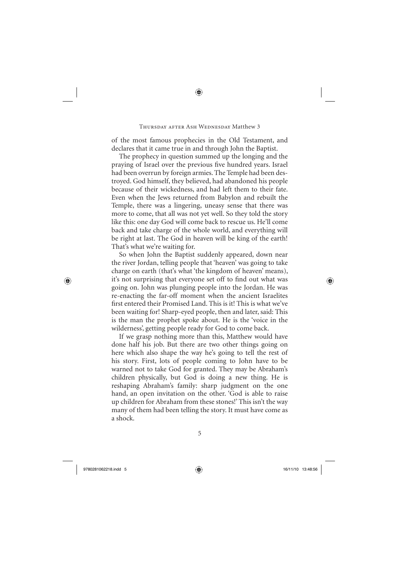of the most famous prophecies in the Old Testament, and declares that it came true in and through John the Baptist.

The prophecy in question summed up the longing and the praying of Israel over the previous five hundred years. Israel had been overrun by foreign armies. The Temple had been destroyed. God himself, they believed, had abandoned his people because of their wickedness, and had left them to their fate. Even when the Jews returned from Babylon and rebuilt the Temple, there was a lingering, uneasy sense that there was more to come, that all was not yet well. So they told the story like this: one day God will come back to rescue us. He'll come back and take charge of the whole world, and everything will be right at last. The God in heaven will be king of the earth! That's what we're waiting for.

So when John the Baptist suddenly appeared, down near the river Jordan, telling people that 'heaven' was going to take charge on earth (that's what 'the kingdom of heaven' means), it's not surprising that everyone set off to find out what was going on. John was plunging people into the Jordan. He was re-enacting the far-off moment when the ancient Israelites first entered their Promised Land. This is it! This is what we've been waiting for! Sharp-eyed people, then and later, said: This is the man the prophet spoke about. He is the 'voice in the wilderness', getting people ready for God to come back.

If we grasp nothing more than this, Matthew would have done half his job. But there are two other things going on here which also shape the way he's going to tell the rest of his story. First, lots of people coming to John have to be warned not to take God for granted. They may be Abraham's children physically, but God is doing a new thing. He is reshaping Abraham's family: sharp judgment on the one hand, an open invitation on the other. 'God is able to raise up children for Abraham from these stones!' This isn't the way many of them had been telling the story. It must have come as a shock.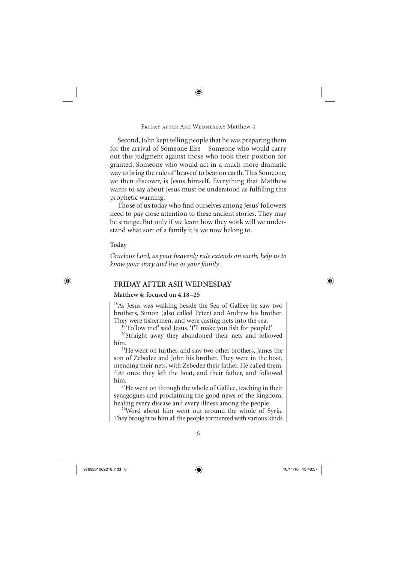Second, John kept telling people that he was preparing them for the arrival of Someone Else – Someone who would carry out this judgment against those who took their position for granted, Someone who would act in a much more dramatic way to bring the rule of 'heaven' to bear on earth. This Someone, we then discover, is Jesus himself. Everything that Matthew wants to say about Jesus must be understood as fulfilling this prophetic warning.

Those of us today who find ourselves among Jesus' followers need to pay close attention to these ancient stories. They may be strange. But only if we learn how they work will we understand what sort of a family it is we now belong to.

### **Today**

*Gracious Lord, as your heavenly rule extends on earth, help us to know your story and live as your family.*

## **FRIDAY AFTER ASH WEDNESDAY**

#### **Matthew 4; focused on 4.18 –25**

<sup>18</sup>As Jesus was walking beside the Sea of Galilee he saw two brothers, Simon (also called Peter) and Andrew his brother.

<sup>19</sup>'Follow me!' said Jesus. 'I'll make you fish for people!'

<sup>20</sup>Straight away they abandoned their nets and followed him.<br><sup>21</sup>He went on further, and saw two other brothers, James the

son of Zebedee and John his brother. They were in the boat, mending their nets, with Zebedee their father. He called them. <sup>22</sup>At once they left the boat, and their father, and followed

him.<br><sup>23</sup>He went on through the whole of Galilee, teaching in their synagogues and proclaiming the good news of the kingdom, healing every disease and every illness among the people. 24Word about him went out around the whole of Syria.

They brought to him all the people tormented with various kinds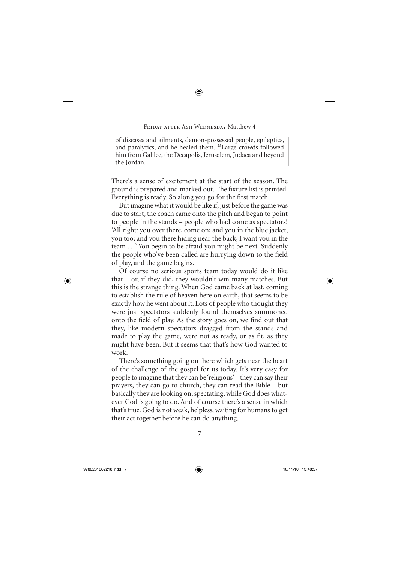of diseases and ailments, demon-possessed people, epileptics, and paralytics, and he healed them. 25Large crowds followed him from Galilee, the Decapolis, Jerusalem, Judaea and beyond the Jordan.

There's a sense of excitement at the start of the season. The ground is prepared and marked out. The fixture list is printed. Everything is ready. So along you go for the first match.

But imagine what it would be like if, just before the game was due to start, the coach came onto the pitch and began to point to people in the stands – people who had come as spectators! 'All right: you over there, come on; and you in the blue jacket, you too; and you there hiding near the back, I want you in the team . . .' You begin to be afraid you might be next. Suddenly the people who've been called are hurrying down to the field of play, and the game begins.

Of course no serious sports team today would do it like that – or, if they did, they wouldn't win many matches. But this is the strange thing. When God came back at last, coming to establish the rule of heaven here on earth, that seems to be exactly how he went about it. Lots of people who thought they were just spectators suddenly found themselves summoned onto the field of play. As the story goes on, we find out that they, like modern spectators dragged from the stands and made to play the game, were not as ready, or as fit, as they might have been. But it seems that that's how God wanted to work.

There's something going on there which gets near the heart of the challenge of the gospel for us today. It's very easy for people to imagine that they can be 'religious' – they can say their prayers, they can go to church, they can read the Bible – but basically they are looking on, spectating, while God does whatever God is going to do. And of course there's a sense in which that's true. God is not weak, helpless, waiting for humans to get their act together before he can do anything.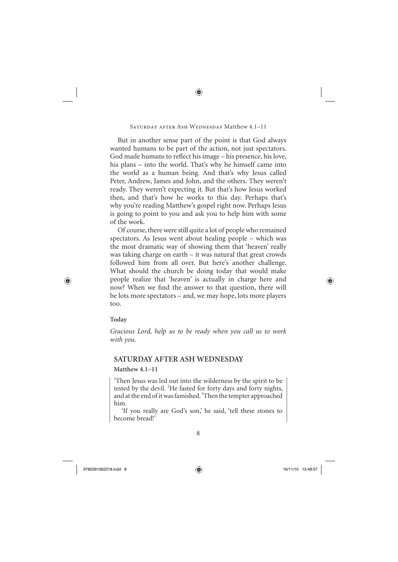But in another sense part of the point is that God always wanted humans to be part of the action, not just spectators. God made humans to reflect his image – his presence, his love, his plans – into the world. That's why he himself came into the world as a human being. And that's why Jesus called Peter, Andrew, James and John, and the others. They weren't ready. They weren't expecting it. But that's how Jesus worked then, and that's how he works to this day. Perhaps that's why you're reading Matthew's gospel right now. Perhaps Jesus is going to point to you and ask you to help him with some of the work.

Of course, there were still quite a lot of people who remained spectators. As Jesus went about healing people – which was the most dramatic way of showing them that 'heaven' really was taking charge on earth – it was natural that great crowds followed him from all over. But here's another challenge. What should the church be doing today that would make people realize that 'heaven' is actually in charge here and now? When we find the answer to that question, there will be lots more spectators – and, we may hope, lots more players too.

### **Today**

*Gracious Lord, help us to be ready when you call us to work with you.*

## **SATURDAY AFTER ASH WEDNESDAY**

### **Matthew 4.1–11**

<sup>1</sup>Then Jesus was led out into the wilderness by the spirit to be tested by the devil. <sup>2</sup>He fasted for forty days and forty nights, and at the end of it was famished.<sup>3</sup> Then the tempter approached him.

'If you really are God's son,' he said, 'tell these stones to become bread!'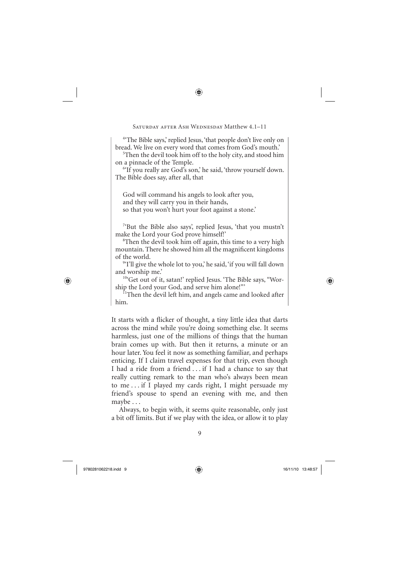4 'The Bible says,' replied Jesus, 'that people don't live only on bread. We live on every word that comes from God's mouth.

<sup>5</sup>Then the devil took him off to the holy city, and stood him on a pinnacle of the Temple. <sup>6</sup>

 $^{64}$ If you really are God's son,' he said, 'throw yourself down. The Bible does say, after all, that

God will command his angels to look after you, and they will carry you in their hands, so that you won't hurt your foot against a stone.'

7 'But the Bible also says', replied Jesus, 'that you mustn't make the Lord your God prove himself!'

 ${}^8$ Then the devil took him off again, this time to a very high mountain. There he showed him all the magnificent kingdoms of the world.

'I'll give the whole lot to you,' he said, 'if you will fall down

and worship me.'<br><sup>10</sup>'Get out of it, satan!' replied Jesus. 'The Bible says, "Wor-<br>ship the Lord your God, and serve him alone!'"

<sup>11</sup>Then the devil left him, and angels came and looked after him.

It starts with a flicker of thought, a tiny little idea that darts across the mind while you're doing something else. It seems harmless, just one of the millions of things that the human brain comes up with. But then it returns, a minute or an hour later. You feel it now as something familiar, and perhaps enticing. If I claim travel expenses for that trip, even though I had a ride from a friend . . . if I had a chance to say that really cutting remark to the man who's always been mean to me . . . if I played my cards right, I might persuade my friend's spouse to spend an evening with me, and then maybe . . .

Always, to begin with, it seems quite reasonable, only just a bit off limits. But if we play with the idea, or allow it to play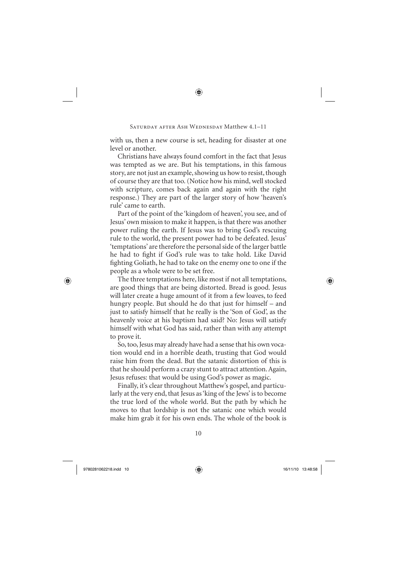with us, then a new course is set, heading for disaster at one level or another.

Christians have always found comfort in the fact that Jesus was tempted as we are. But his temptations, in this famous story, are not just an example, showing us how to resist, though of course they are that too. (Notice how his mind, well stocked with scripture, comes back again and again with the right response.) They are part of the larger story of how 'heaven's rule' came to earth.

Part of the point of the 'kingdom of heaven', you see, and of Jesus' own mission to make it happen, is that there was another power ruling the earth. If Jesus was to bring God's rescuing rule to the world, the present power had to be defeated. Jesus' 'temptations' are therefore the personal side of the larger battle he had to fight if God's rule was to take hold. Like David fighting Goliath, he had to take on the enemy one to one if the people as a whole were to be set free.

The three temptations here, like most if not all temptations, are good things that are being distorted. Bread is good. Jesus will later create a huge amount of it from a few loaves, to feed hungry people. But should he do that just for himself – and just to satisfy himself that he really is the 'Son of God', as the heavenly voice at his baptism had said? No: Jesus will satisfy himself with what God has said, rather than with any attempt to prove it.

So, too, Jesus may already have had a sense that his own vocation would end in a horrible death, trusting that God would raise him from the dead. But the satanic distortion of this is that he should perform a crazy stunt to attract attention. Again, Jesus refuses: that would be using God's power as magic.

Finally, it's clear throughout Matthew's gospel, and particularly at the very end, that Jesus as 'king of the Jews' is to become the true lord of the whole world. But the path by which he moves to that lordship is not the satanic one which would make him grab it for his own ends. The whole of the book is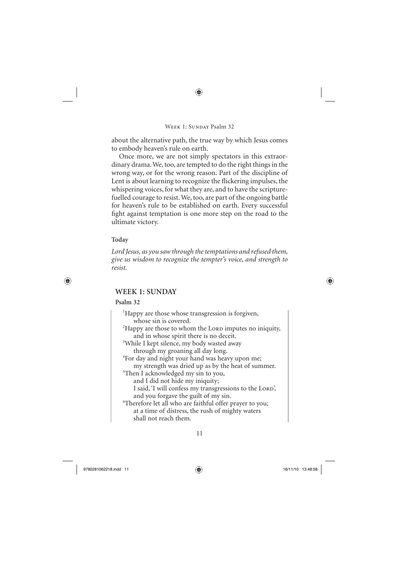about the alternative path, the true way by which Jesus comes to embody heaven's rule on earth.

Once more, we are not simply spectators in this extraordinary drama. We, too, are tempted to do the right things in the wrong way, or for the wrong reason. Part of the discipline of Lent is about learning to recognize the flickering impulses, the whispering voices, for what they are, and to have the scripturefuelled courage to resist. We, too, are part of the ongoing battle for heaven's rule to be established on earth. Every successful fight against temptation is one more step on the road to the ultimate victory.

### **Today**

*Lord Jesus, as you saw through the temptations and refused them, give us wisdom to recognize the tempter's voice, and strength to resist.*

## **WEEK 1: SUNDAY**

### **Psalm 32**

<sup>1</sup>Happy are those whose transgression is forgiven, whose sin is covered. <sup>2</sup>Happy are those to whom the Lord imputes no iniquity, and in whose spirit there is no deceit. <sup>3</sup>While I kept silence, my body wasted away through my groaning all day long. <sup>4</sup> For day and night your hand was heavy upon me; my strength was dried up as by the heat of summer. <sup>5</sup>Then I acknowledged my sin to you, and I did not hide my iniquity; I said, 'I will confess my transgressions to the Lord', and you forgave the guilt of my sin. <sup>6</sup> Therefore let all who are faithful offer prayer to you; at a time of distress, the rush of mighty waters shall not reach them.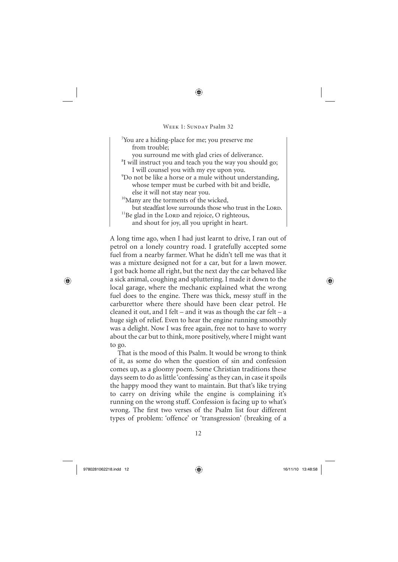| <sup>7</sup> You are a hiding-place for me; you preserve me<br>from trouble; |
|------------------------------------------------------------------------------|
| you surround me with glad cries of deliverance.                              |
| <sup>8</sup> I will instruct you and teach you the way you should go;        |
| I will counsel you with my eye upon you.                                     |
| <sup>9</sup> Do not be like a horse or a mule without understanding,         |
| whose temper must be curbed with bit and bridle,                             |
| else it will not stay near you.                                              |
| <sup>10</sup> Many are the torments of the wicked,                           |
| but steadfast love surrounds those who trust in the LORD.                    |
| <sup>11</sup> Be glad in the Lorp and rejoice, O righteous,                  |
| and shout for joy, all you upright in heart.                                 |

A long time ago, when I had just learnt to drive, I ran out of petrol on a lonely country road. I gratefully accepted some fuel from a nearby farmer. What he didn't tell me was that it was a mixture designed not for a car, but for a lawn mower. I got back home all right, but the next day the car behaved like a sick animal, coughing and spluttering. I made it down to the local garage, where the mechanic explained what the wrong fuel does to the engine. There was thick, messy stuff in the carburettor where there should have been clear petrol. He cleaned it out, and I felt – and it was as though the car felt – a huge sigh of relief. Even to hear the engine running smoothly was a delight. Now I was free again, free not to have to worry about the car but to think, more positively, where I might want to go.

That is the mood of this Psalm. It would be wrong to think of it, as some do when the question of sin and confession comes up, as a gloomy poem. Some Christian traditions these days seem to do as little 'confessing' as they can, in case it spoils the happy mood they want to maintain. But that's like trying to carry on driving while the engine is complaining it's running on the wrong stuff. Confession is facing up to what's wrong. The first two verses of the Psalm list four different types of problem: 'offence' or 'transgression' (breaking of a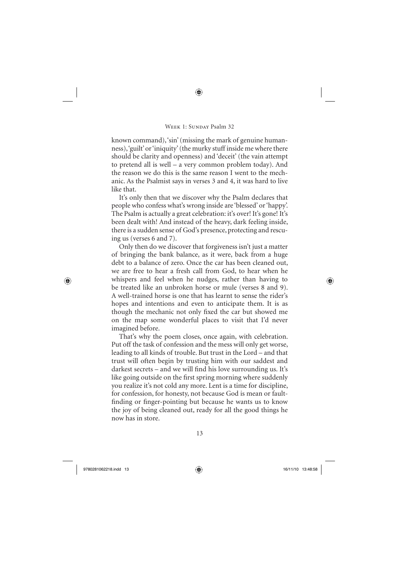known command), 'sin' (missing the mark of genuine humanness), 'guilt' or 'iniquity' (the murky stuff inside me where there should be clarity and openness) and 'deceit' (the vain attempt to pretend all is well – a very common problem today). And the reason we do this is the same reason I went to the mechanic. As the Psalmist says in verses 3 and 4, it was hard to live like that.

It's only then that we discover why the Psalm declares that people who confess what's wrong inside are 'blessed' or 'happy'. The Psalm is actually a great celebration: it's over! It's gone! It's been dealt with! And instead of the heavy, dark feeling inside, there is a sudden sense of God's presence, protecting and rescuing us (verses 6 and 7).

Only then do we discover that forgiveness isn't just a matter of bringing the bank balance, as it were, back from a huge debt to a balance of zero. Once the car has been cleaned out, we are free to hear a fresh call from God, to hear when he whispers and feel when he nudges, rather than having to be treated like an unbroken horse or mule (verses 8 and 9). A well-trained horse is one that has learnt to sense the rider's hopes and intentions and even to anticipate them. It is as though the mechanic not only fixed the car but showed me on the map some wonderful places to visit that I'd never imagined before.

That's why the poem closes, once again, with celebration. Put off the task of confession and the mess will only get worse, leading to all kinds of trouble. But trust in the Lord – and that trust will often begin by trusting him with our saddest and darkest secrets – and we will find his love surrounding us. It's like going outside on the first spring morning where suddenly you realize it's not cold any more. Lent is a time for discipline, for confession, for honesty, not because God is mean or faultfinding or finger-pointing but because he wants us to know the joy of being cleaned out, ready for all the good things he now has in store.